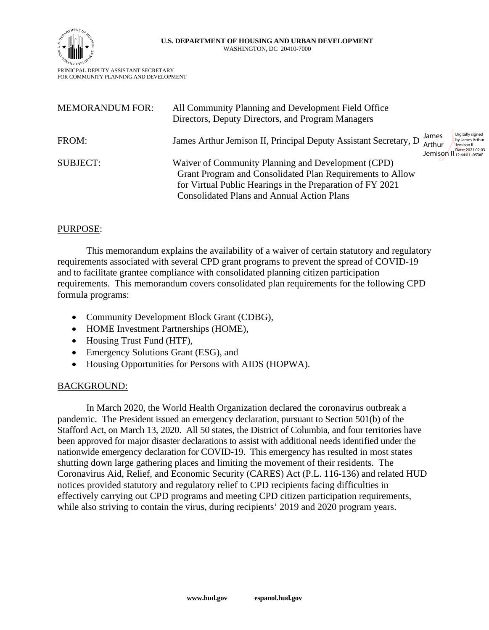



PRINICPAL DEPUTY ASSISTANT SECRETARY FOR COMMUNITY PLANNING AND DEVELOPMENT

| <b>MEMORANDUM FOR:</b> | All Community Planning and Development Field Office<br>Directors, Deputy Directors, and Program Managers                                                                                                                          |                            |                                                                                              |
|------------------------|-----------------------------------------------------------------------------------------------------------------------------------------------------------------------------------------------------------------------------------|----------------------------|----------------------------------------------------------------------------------------------|
| FROM:                  | James Arthur Jemison II, Principal Deputy Assistant Secretary, D                                                                                                                                                                  | James<br>Arthur<br>Jemison | Digitally signed<br>by James Arthur<br>Jemison II<br>Date: 2021.02.03<br>11 12:44:01 -05'00" |
| <b>SUBJECT:</b>        | Waiver of Community Planning and Development (CPD)<br>Grant Program and Consolidated Plan Requirements to Allow<br>for Virtual Public Hearings in the Preparation of FY 2021<br><b>Consolidated Plans and Annual Action Plans</b> |                            |                                                                                              |

# PURPOSE:

This memorandum explains the availability of a waiver of certain statutory and regulatory requirements associated with several CPD grant programs to prevent the spread of COVID-19 and to facilitate grantee compliance with consolidated planning citizen participation requirements. This memorandum covers consolidated plan requirements for the following CPD formula programs:

- Community Development Block Grant (CDBG),
- HOME Investment Partnerships (HOME),
- Housing Trust Fund (HTF),
- Emergency Solutions Grant (ESG), and
- Housing Opportunities for Persons with AIDS (HOPWA).

# BACKGROUND:

In March 2020, the World Health Organization declared the coronavirus outbreak a pandemic. The President issued an emergency declaration, pursuant to Section 501(b) of the Stafford Act, on March 13, 2020. All 50 states, the District of Columbia, and four territories have been approved for major disaster declarations to assist with additional needs identified under the nationwide emergency declaration for COVID-19. This emergency has resulted in most states shutting down large gathering places and limiting the movement of their residents. The Coronavirus Aid, Relief, and Economic Security (CARES) Act (P.L. 116-136) and related HUD notices provided statutory and regulatory relief to CPD recipients facing difficulties in effectively carrying out CPD programs and meeting CPD citizen participation requirements, while also striving to contain the virus, during recipients' 2019 and 2020 program years.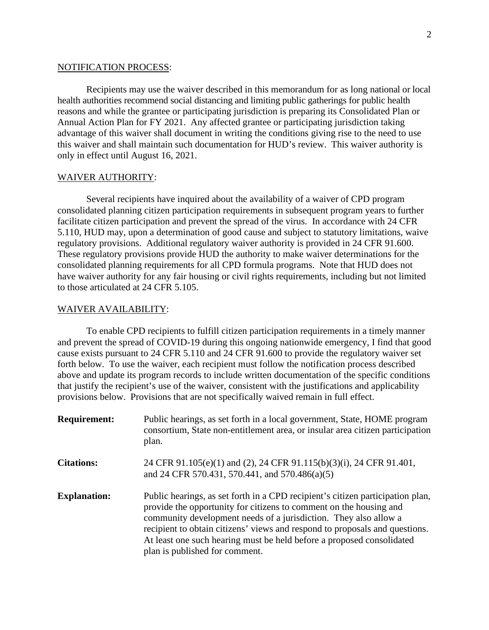### NOTIFICATION PROCESS:

Recipients may use the waiver described in this memorandum for as long national or local health authorities recommend social distancing and limiting public gatherings for public health reasons and while the grantee or participating jurisdiction is preparing its Consolidated Plan or Annual Action Plan for FY 2021. Any affected grantee or participating jurisdiction taking advantage of this waiver shall document in writing the conditions giving rise to the need to use this waiver and shall maintain such documentation for HUD's review. This waiver authority is only in effect until August 16, 2021.

### WAIVER AUTHORITY:

Several recipients have inquired about the availability of a waiver of CPD program consolidated planning citizen participation requirements in subsequent program years to further facilitate citizen participation and prevent the spread of the virus. In accordance with 24 CFR 5.110, HUD may, upon a determination of good cause and subject to statutory limitations, waive regulatory provisions. Additional regulatory waiver authority is provided in 24 CFR 91.600. These regulatory provisions provide HUD the authority to make waiver determinations for the consolidated planning requirements for all CPD formula programs. Note that HUD does not have waiver authority for any fair housing or civil rights requirements, including but not limited to those articulated at 24 CFR 5.105.

### WAIVER AVAILABILITY:

To enable CPD recipients to fulfill citizen participation requirements in a timely manner and prevent the spread of COVID-19 during this ongoing nationwide emergency, I find that good cause exists pursuant to 24 CFR 5.110 and 24 CFR 91.600 to provide the regulatory waiver set forth below. To use the waiver, each recipient must follow the notification process described above and update its program records to include written documentation of the specific conditions that justify the recipient's use of the waiver, consistent with the justifications and applicability provisions below. Provisions that are not specifically waived remain in full effect.

| <b>Requirement:</b> | Public hearings, as set forth in a local government, State, HOME program<br>consortium, State non-entitlement area, or insular area citizen participation<br>plan.                                                                                                                                                                                                                                                 |
|---------------------|--------------------------------------------------------------------------------------------------------------------------------------------------------------------------------------------------------------------------------------------------------------------------------------------------------------------------------------------------------------------------------------------------------------------|
| <b>Citations:</b>   | 24 CFR 91.105(e)(1) and (2), 24 CFR 91.115(b)(3)(i), 24 CFR 91.401,<br>and 24 CFR 570.431, 570.441, and 570.486(a)(5)                                                                                                                                                                                                                                                                                              |
| <b>Explanation:</b> | Public hearings, as set forth in a CPD recipient's citizen participation plan,<br>provide the opportunity for citizens to comment on the housing and<br>community development needs of a jurisdiction. They also allow a<br>recipient to obtain citizens' views and respond to proposals and questions.<br>At least one such hearing must be held before a proposed consolidated<br>plan is published for comment. |